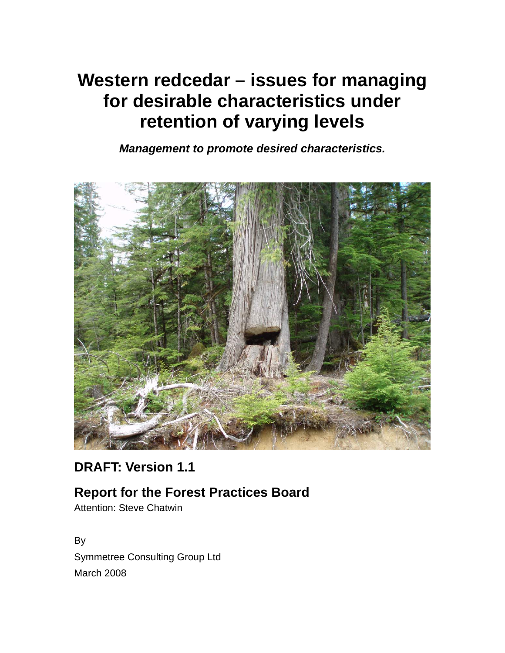# **Western redcedar – issues for managing for desirable characteristics under retention of varying levels**

*Management to promote desired characteristics.* 



**DRAFT: Version 1.1** 

# **Report for the Forest Practices Board**

Attention: Steve Chatwin

By Symmetree Consulting Group Ltd March 2008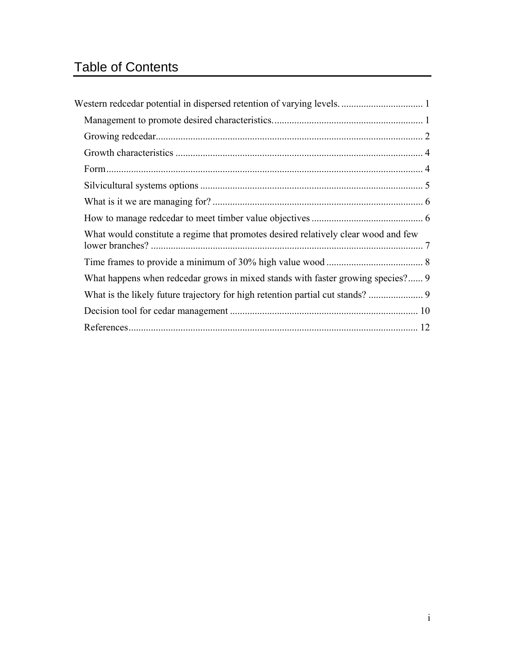# Table of Contents

| What would constitute a regime that promotes desired relatively clear wood and few |  |
|------------------------------------------------------------------------------------|--|
|                                                                                    |  |
| What happens when redcedar grows in mixed stands with faster growing species? 9    |  |
| What is the likely future trajectory for high retention partial cut stands?        |  |
|                                                                                    |  |
|                                                                                    |  |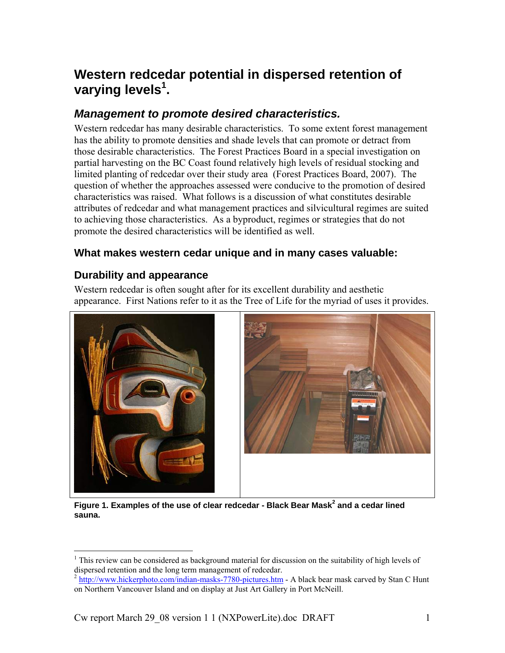# **Western redcedar potential in dispersed retention of varying levels<sup>1</sup> .**

# *Management to promote desired characteristics.*

Western redcedar has many desirable characteristics. To some extent forest management has the ability to promote densities and shade levels that can promote or detract from those desirable characteristics. The Forest Practices Board in a special investigation on partial harvesting on the BC Coast found relatively high levels of residual stocking and limited planting of redcedar over their study area (Forest Practices Board, 2007). The question of whether the approaches assessed were conducive to the promotion of desired characteristics was raised. What follows is a discussion of what constitutes desirable attributes of redcedar and what management practices and silvicultural regimes are suited to achieving those characteristics. As a byproduct, regimes or strategies that do not promote the desired characteristics will be identified as well.

## **What makes western cedar unique and in many cases valuable:**

### **Durability and appearance**

 $\overline{a}$ 

Western redcedar is often sought after for its excellent durability and aesthetic appearance. First Nations refer to it as the Tree of Life for the myriad of uses it provides.



**Figure 1. Examples of the use of clear redcedar - Black Bear Mask<sup>2</sup> and a cedar lined sauna.** 

 $<sup>1</sup>$  This review can be considered as background material for discussion on the suitability of high levels of</sup> dispersed retention and the long term management of redcedar.

<sup>&</sup>lt;sup>2</sup> http://www.hickerphoto.com/indian-masks-7780-pictures.htm - A black bear mask carved by Stan C Hunt on Northern Vancouver Island and on display at Just Art Gallery in Port McNeill.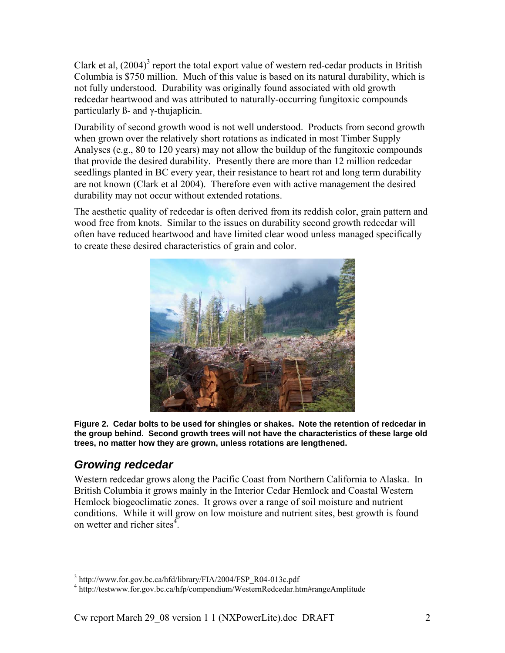Clark et al,  $(2004)^3$  report the total export value of western red-cedar products in British Columbia is \$750 million. Much of this value is based on its natural durability, which is not fully understood. Durability was originally found associated with old growth redcedar heartwood and was attributed to naturally-occurring fungitoxic compounds particularly ß- and γ-thujaplicin.

Durability of second growth wood is not well understood. Products from second growth when grown over the relatively short rotations as indicated in most Timber Supply Analyses (e.g., 80 to 120 years) may not allow the buildup of the fungitoxic compounds that provide the desired durability. Presently there are more than 12 million redcedar seedlings planted in BC every year, their resistance to heart rot and long term durability are not known (Clark et al 2004). Therefore even with active management the desired durability may not occur without extended rotations.

The aesthetic quality of redcedar is often derived from its reddish color, grain pattern and wood free from knots. Similar to the issues on durability second growth redcedar will often have reduced heartwood and have limited clear wood unless managed specifically to create these desired characteristics of grain and color.



**Figure 2. Cedar bolts to be used for shingles or shakes. Note the retention of redcedar in the group behind. Second growth trees will not have the characteristics of these large old trees, no matter how they are grown, unless rotations are lengthened.** 

# *Growing redcedar*

Western redcedar grows along the Pacific Coast from Northern California to Alaska. In British Columbia it grows mainly in the Interior Cedar Hemlock and Coastal Western Hemlock biogeoclimatic zones. It grows over a range of soil moisture and nutrient conditions. While it will grow on low moisture and nutrient sites, best growth is found on wetter and richer sites $4<sup>4</sup>$ .

 $\frac{3}{3}$  http://www.for.gov.bc.ca/hfd/library/FIA/2004/FSP\_R04-013c.pdf  $\frac{4}{3}$  http://tecture.gov.bc.ca/hfd/library/FIA/2004/FSP\_R04-013c.pdf

http://testwww.for.gov.bc.ca/hfp/compendium/WesternRedcedar.htm#rangeAmplitude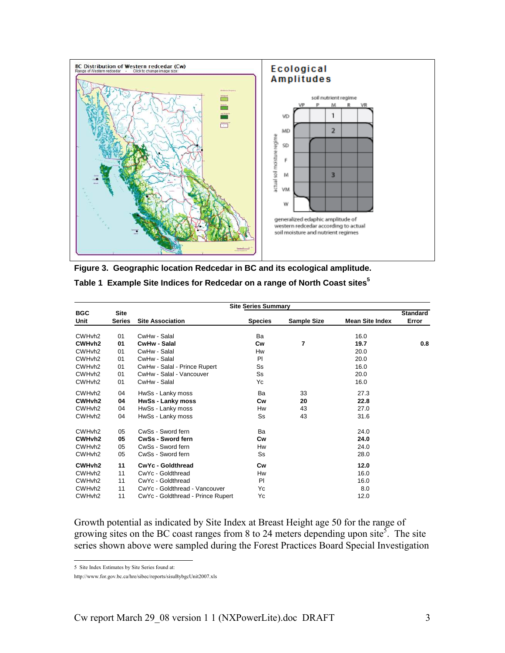

**Figure 3. Geographic location Redcedar in BC and its ecological amplitude. Table 1 Example Site Indices for Redcedar on a range of North Coast sites<sup>5</sup>**

| <b>Site Series Summary</b> |               |                                   |                |                    |                        |                 |  |
|----------------------------|---------------|-----------------------------------|----------------|--------------------|------------------------|-----------------|--|
| <b>BGC</b>                 | Site          |                                   |                |                    |                        | <b>Standard</b> |  |
| Unit                       | <b>Series</b> | <b>Site Association</b>           | <b>Species</b> | <b>Sample Size</b> | <b>Mean Site Index</b> | Error           |  |
|                            |               |                                   |                |                    |                        |                 |  |
| CWH <sub>vh2</sub>         | 01            | CwHw - Salal                      | Ba             |                    | 16.0                   |                 |  |
| CWHvh <sub>2</sub>         | 01            | <b>CwHw - Salal</b>               | Сw             | 7                  | 19.7                   | 0.8             |  |
| CWH <sub>vh2</sub>         | 01            | CwHw - Salal                      | Hw             |                    | 20.0                   |                 |  |
| CWH <sub>vh2</sub>         | 01            | CwHw - Salal                      | PI             |                    | 20.0                   |                 |  |
| CWH <sub>vh2</sub>         | 01            | CwHw - Salal - Prince Rupert      | Ss             |                    | 16.0                   |                 |  |
| CWH <sub>vh2</sub>         | 01            | CwHw - Salal - Vancouver          | Ss             |                    | 20.0                   |                 |  |
| CWH <sub>vh2</sub>         | 01            | CwHw - Salal                      | Yc             |                    | 16.0                   |                 |  |
| CWH <sub>vh2</sub>         | 04            | HwSs - Lanky moss                 | Ba             | 33                 | 27.3                   |                 |  |
| CWHvh <sub>2</sub>         | 04            | <b>HwSs - Lanky moss</b>          | Cw             | 20                 | 22.8                   |                 |  |
| CWH <sub>vh2</sub>         | 04            | HwSs - Lanky moss                 | Hw             | 43                 | 27.0                   |                 |  |
| CWH <sub>vh2</sub>         | 04            | HwSs - Lanky moss                 | Ss             | 43                 | 31.6                   |                 |  |
| CWH <sub>vh2</sub>         | 05            | CwSs - Sword fern                 | Ba             |                    | 24.0                   |                 |  |
| CWHvh <sub>2</sub>         | 05            | CwSs - Sword fern                 | Cw             |                    | 24.0                   |                 |  |
| CWH <sub>vh2</sub>         | 05            | CwSs - Sword fern                 | Hw             |                    | 24.0                   |                 |  |
| CWH <sub>vh2</sub>         | 05            | CwSs - Sword fern                 | Ss             |                    | 28.0                   |                 |  |
| CWHvh <sub>2</sub>         | 11            | CwYc - Goldthread                 | Cw             |                    | 12.0                   |                 |  |
| CWHvh <sub>2</sub>         | 11            | CwYc - Goldthread                 | Hw             |                    | 16.0                   |                 |  |
| CWH <sub>vh2</sub>         | 11            | CwYc - Goldthread                 | PI             |                    | 16.0                   |                 |  |
| CWHvh <sub>2</sub>         | 11            | CwYc - Goldthread - Vancouver     | Yc             |                    | 8.0                    |                 |  |
| CWH <sub>vh2</sub>         | 11            | CwYc - Goldthread - Prince Rupert | Yc             |                    | 12.0                   |                 |  |

Growth potential as indicated by Site Index at Breast Height age 50 for the range of growing sites on the BC coast ranges from 8 to 24 meters depending upon site<sup>5</sup>. The site series shown above were sampled during the Forest Practices Board Special Investigation

 5 Site Index Estimates by Site Series found at:

http://www.for.gov.bc.ca/hre/sibec/reports/sisuBybgcUnit2007.xls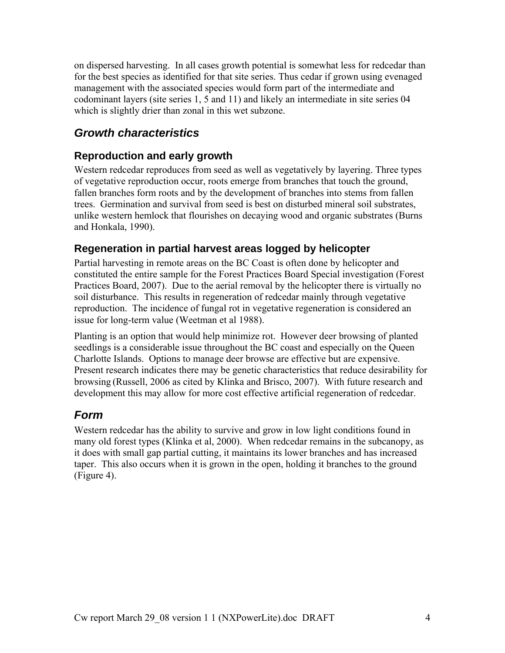on dispersed harvesting. In all cases growth potential is somewhat less for redcedar than for the best species as identified for that site series. Thus cedar if grown using evenaged management with the associated species would form part of the intermediate and codominant layers (site series 1, 5 and 11) and likely an intermediate in site series 04 which is slightly drier than zonal in this wet subzone.

# *Growth characteristics*

## **Reproduction and early growth**

Western redcedar reproduces from seed as well as vegetatively by layering. Three types of vegetative reproduction occur, roots emerge from branches that touch the ground, fallen branches form roots and by the development of branches into stems from fallen trees. Germination and survival from seed is best on disturbed mineral soil substrates, unlike western hemlock that flourishes on decaying wood and organic substrates (Burns and Honkala, 1990).

## **Regeneration in partial harvest areas logged by helicopter**

Partial harvesting in remote areas on the BC Coast is often done by helicopter and constituted the entire sample for the Forest Practices Board Special investigation (Forest Practices Board, 2007). Due to the aerial removal by the helicopter there is virtually no soil disturbance. This results in regeneration of redcedar mainly through vegetative reproduction. The incidence of fungal rot in vegetative regeneration is considered an issue for long-term value (Weetman et al 1988).

Planting is an option that would help minimize rot. However deer browsing of planted seedlings is a considerable issue throughout the BC coast and especially on the Queen Charlotte Islands. Options to manage deer browse are effective but are expensive. Present research indicates there may be genetic characteristics that reduce desirability for browsing (Russell, 2006 as cited by Klinka and Brisco, 2007). With future research and development this may allow for more cost effective artificial regeneration of redcedar.

# *Form*

Western redcedar has the ability to survive and grow in low light conditions found in many old forest types (Klinka et al, 2000). When redcedar remains in the subcanopy, as it does with small gap partial cutting, it maintains its lower branches and has increased taper. This also occurs when it is grown in the open, holding it branches to the ground (Figure 4).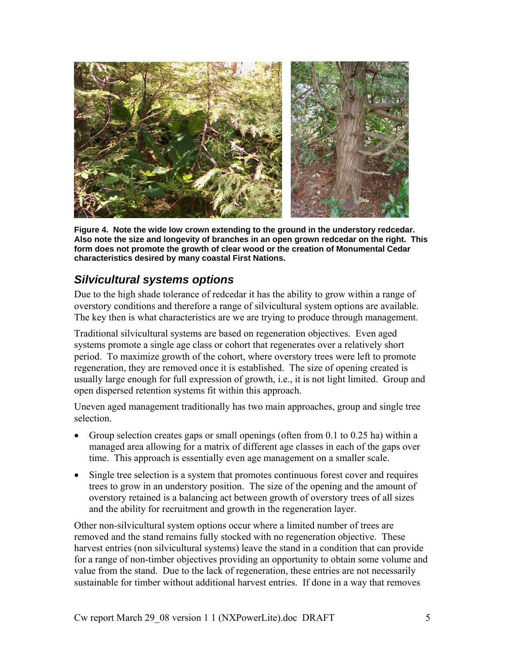

**Figure 4. Note the wide low crown extending to the ground in the understory redcedar. Also note the size and longevity of branches in an open grown redcedar on the right. This form does not promote the growth of clear wood or the creation of Monumental Cedar characteristics desired by many coastal First Nations.** 

# *Silvicultural systems options*

Due to the high shade tolerance of redcedar it has the ability to grow within a range of overstory conditions and therefore a range of silvicultural system options are available. The key then is what characteristics are we are trying to produce through management.

Traditional silvicultural systems are based on regeneration objectives. Even aged systems promote a single age class or cohort that regenerates over a relatively short period. To maximize growth of the cohort, where overstory trees were left to promote regeneration, they are removed once it is established. The size of opening created is usually large enough for full expression of growth, i.e., it is not light limited. Group and open dispersed retention systems fit within this approach.

Uneven aged management traditionally has two main approaches, group and single tree selection.

- Group selection creates gaps or small openings (often from 0.1 to 0.25 ha) within a managed area allowing for a matrix of different age classes in each of the gaps over time. This approach is essentially even age management on a smaller scale.
- Single tree selection is a system that promotes continuous forest cover and requires trees to grow in an understory position. The size of the opening and the amount of overstory retained is a balancing act between growth of overstory trees of all sizes and the ability for recruitment and growth in the regeneration layer.

Other non-silvicultural system options occur where a limited number of trees are removed and the stand remains fully stocked with no regeneration objective. These harvest entries (non silvicultural systems) leave the stand in a condition that can provide for a range of non-timber objectives providing an opportunity to obtain some volume and value from the stand. Due to the lack of regeneration, these entries are not necessarily sustainable for timber without additional harvest entries. If done in a way that removes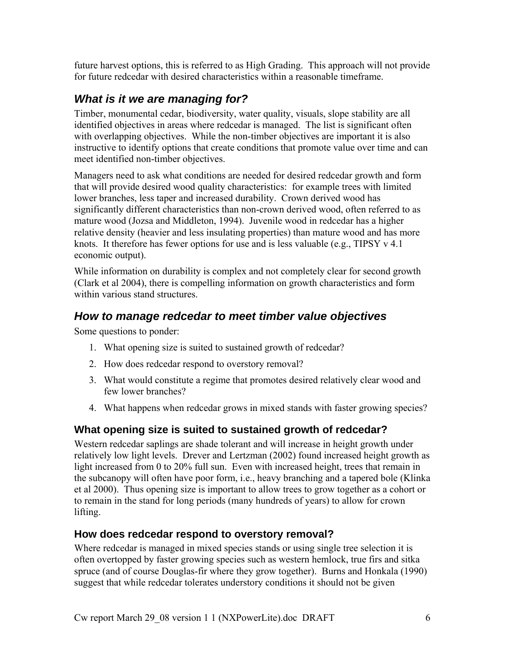future harvest options, this is referred to as High Grading. This approach will not provide for future redcedar with desired characteristics within a reasonable timeframe.

# *What is it we are managing for?*

Timber, monumental cedar, biodiversity, water quality, visuals, slope stability are all identified objectives in areas where redcedar is managed. The list is significant often with overlapping objectives. While the non-timber objectives are important it is also instructive to identify options that create conditions that promote value over time and can meet identified non-timber objectives.

Managers need to ask what conditions are needed for desired redcedar growth and form that will provide desired wood quality characteristics: for example trees with limited lower branches, less taper and increased durability. Crown derived wood has significantly different characteristics than non-crown derived wood, often referred to as mature wood (Jozsa and Middleton, 1994). Juvenile wood in redcedar has a higher relative density (heavier and less insulating properties) than mature wood and has more knots. It therefore has fewer options for use and is less valuable (e.g., TIPSY v 4.1 economic output).

While information on durability is complex and not completely clear for second growth (Clark et al 2004), there is compelling information on growth characteristics and form within various stand structures.

## *How to manage redcedar to meet timber value objectives*

Some questions to ponder:

- 1. What opening size is suited to sustained growth of redcedar?
- 2. How does redcedar respond to overstory removal?
- 3. What would constitute a regime that promotes desired relatively clear wood and few lower branches?
- 4. What happens when redcedar grows in mixed stands with faster growing species?

### **What opening size is suited to sustained growth of redcedar?**

Western redcedar saplings are shade tolerant and will increase in height growth under relatively low light levels. Drever and Lertzman (2002) found increased height growth as light increased from 0 to 20% full sun. Even with increased height, trees that remain in the subcanopy will often have poor form, i.e., heavy branching and a tapered bole (Klinka et al 2000). Thus opening size is important to allow trees to grow together as a cohort or to remain in the stand for long periods (many hundreds of years) to allow for crown lifting.

### **How does redcedar respond to overstory removal?**

Where redcedar is managed in mixed species stands or using single tree selection it is often overtopped by faster growing species such as western hemlock, true firs and sitka spruce (and of course Douglas-fir where they grow together). Burns and Honkala (1990) suggest that while redcedar tolerates understory conditions it should not be given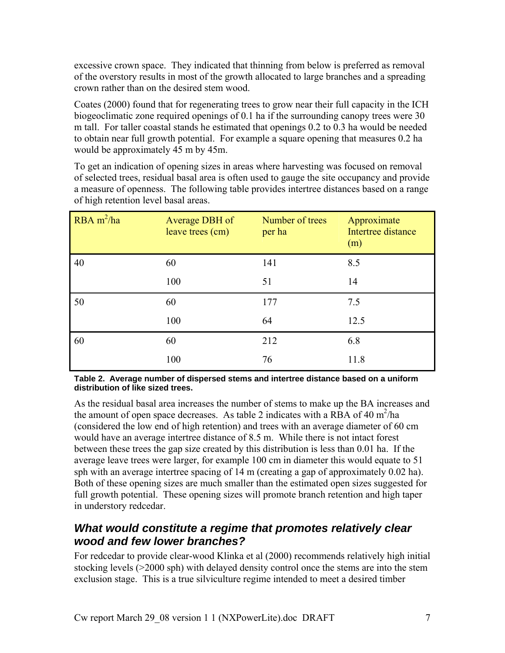excessive crown space. They indicated that thinning from below is preferred as removal of the overstory results in most of the growth allocated to large branches and a spreading crown rather than on the desired stem wood.

Coates (2000) found that for regenerating trees to grow near their full capacity in the ICH biogeoclimatic zone required openings of 0.1 ha if the surrounding canopy trees were 30 m tall. For taller coastal stands he estimated that openings 0.2 to 0.3 ha would be needed to obtain near full growth potential. For example a square opening that measures 0.2 ha would be approximately 45 m by 45m.

To get an indication of opening sizes in areas where harvesting was focused on removal of selected trees, residual basal area is often used to gauge the site occupancy and provide a measure of openness. The following table provides intertree distances based on a range of high retention level basal areas.

| $RBA \, \text{m}^2/\text{ha}$ | Average DBH of<br>leave trees (cm) | Number of trees<br>per ha | Approximate<br>Intertree distance<br>(m) |
|-------------------------------|------------------------------------|---------------------------|------------------------------------------|
| 40                            | 60                                 | 141                       | 8.5                                      |
|                               | 100                                | 51                        | 14                                       |
| 50                            | 60                                 | 177                       | 7.5                                      |
|                               | 100                                | 64                        | 12.5                                     |
| 60                            | 60                                 | 212                       | 6.8                                      |
|                               | 100                                | 76                        | 11.8                                     |

#### **Table 2. Average number of dispersed stems and intertree distance based on a uniform distribution of like sized trees.**

As the residual basal area increases the number of stems to make up the BA increases and the amount of open space decreases. As table 2 indicates with a RBA of 40 m<sup>2</sup>/ha (considered the low end of high retention) and trees with an average diameter of 60 cm would have an average intertree distance of 8.5 m. While there is not intact forest between these trees the gap size created by this distribution is less than 0.01 ha. If the average leave trees were larger, for example 100 cm in diameter this would equate to 51 sph with an average intertree spacing of 14 m (creating a gap of approximately 0.02 ha). Both of these opening sizes are much smaller than the estimated open sizes suggested for full growth potential. These opening sizes will promote branch retention and high taper in understory redcedar.

# *What would constitute a regime that promotes relatively clear wood and few lower branches?*

For redcedar to provide clear-wood Klinka et al (2000) recommends relatively high initial stocking levels (>2000 sph) with delayed density control once the stems are into the stem exclusion stage. This is a true silviculture regime intended to meet a desired timber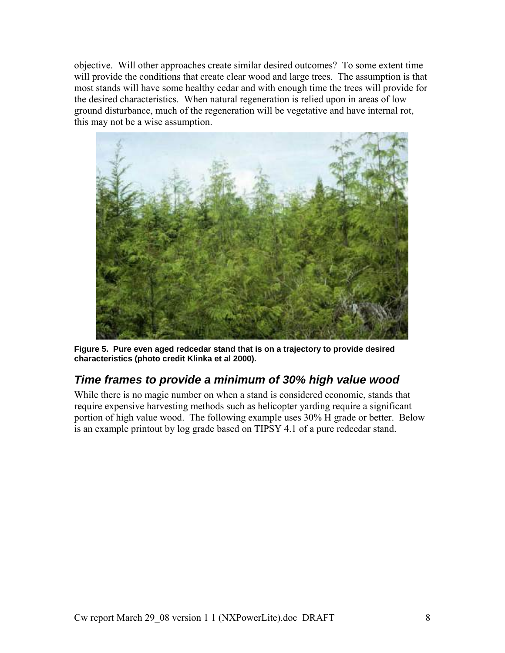objective. Will other approaches create similar desired outcomes? To some extent time will provide the conditions that create clear wood and large trees. The assumption is that most stands will have some healthy cedar and with enough time the trees will provide for the desired characteristics. When natural regeneration is relied upon in areas of low ground disturbance, much of the regeneration will be vegetative and have internal rot, this may not be a wise assumption.



**Figure 5. Pure even aged redcedar stand that is on a trajectory to provide desired characteristics (photo credit Klinka et al 2000).** 

# *Time frames to provide a minimum of 30% high value wood*

While there is no magic number on when a stand is considered economic, stands that require expensive harvesting methods such as helicopter yarding require a significant portion of high value wood. The following example uses 30% H grade or better. Below is an example printout by log grade based on TIPSY 4.1 of a pure redcedar stand.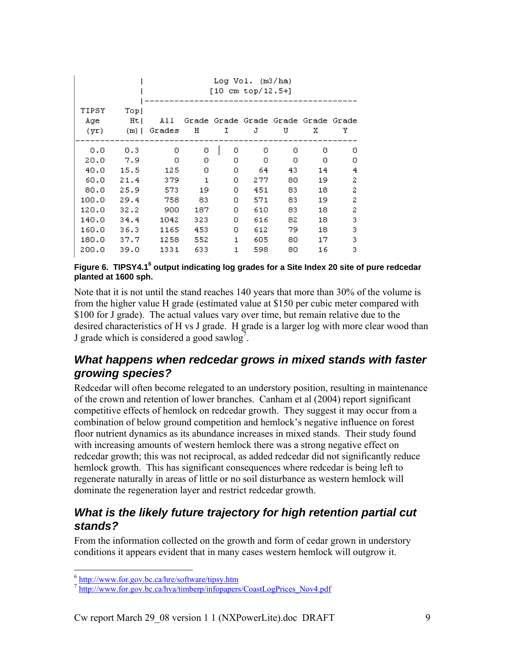|                      | Log Vol. $(m3/ha)$<br>$[10 \text{ cm top}/12.5+]$ |               |            |   |     |                                          |    |   |
|----------------------|---------------------------------------------------|---------------|------------|---|-----|------------------------------------------|----|---|
| TIPSY<br>Age<br>(yr) | Topl<br>Htl<br>$(m)$                              | All<br>Grades | $_{\rm H}$ | I | J   | Grade Grade Grade Grade Grade Grade<br>U | x  | Υ |
| 0.0                  | 0.3                                               | 0             | 0          | о | 0   | ο                                        | о  | о |
| 20.0                 | 7.9                                               | ο             | 0          | о | 0   | о                                        | о  | о |
| 40.0                 | 15.5                                              | 125           | 0          | о | 64  | 43                                       | 14 | 4 |
| 60.0                 | 21.4                                              | 379           | 1          | о | 277 | 80                                       | 19 | 2 |
| 80.0                 | 25.9                                              | 573           | 19         | о | 451 | 83                                       | 18 | 2 |
| 100.0                | 29.4                                              | 758           | 83         | 0 | 571 | 83                                       | 19 | 2 |
| 120.0                | 32.2                                              | 900           | 187        | 0 | 610 | 83                                       | 18 | 2 |
| 140.0                | 34.4                                              | 1042          | 323        | 0 | 616 | 82                                       | 18 | з |
| 160.0                | 36.3                                              | 1165          | 453        | о | 612 | 79                                       | 18 | 3 |
| 180.0                | 37.7                                              | 1258          | 552        | 1 | 605 | 80                                       | 17 | з |
| 200.0                | 39.0                                              | 1331          | 633        | 1 | 598 | 80                                       | 16 | 3 |

#### Figure 6. TIPSY4.1<sup>6</sup> output indicating log grades for a Site Index 20 site of pure redcedar **planted at 1600 sph.**

Note that it is not until the stand reaches 140 years that more than 30% of the volume is from the higher value H grade (estimated value at \$150 per cubic meter compared with \$100 for J grade). The actual values vary over time, but remain relative due to the desired characteristics of H vs J grade. H grade is a larger log with more clear wood than J grade which is considered a good sawlog<sup>7</sup>.

# *What happens when redcedar grows in mixed stands with faster growing species?*

Redcedar will often become relegated to an understory position, resulting in maintenance of the crown and retention of lower branches. Canham et al (2004) report significant competitive effects of hemlock on redcedar growth. They suggest it may occur from a combination of below ground competition and hemlock's negative influence on forest floor nutrient dynamics as its abundance increases in mixed stands. Their study found with increasing amounts of western hemlock there was a strong negative effect on redcedar growth; this was not reciprocal, as added redcedar did not significantly reduce hemlock growth. This has significant consequences where redcedar is being left to regenerate naturally in areas of little or no soil disturbance as western hemlock will dominate the regeneration layer and restrict redcedar growth.

## *What is the likely future trajectory for high retention partial cut stands?*

From the information collected on the growth and form of cedar grown in understory conditions it appears evident that in many cases western hemlock will outgrow it.

 $\overline{a}$ 

 $\frac{6 \text{ http://www.for.gov.bc.ca/hre/software/tipsy.htm}}{http://www.for.gov.bc.ca/hre/software/tipsy.htm}}$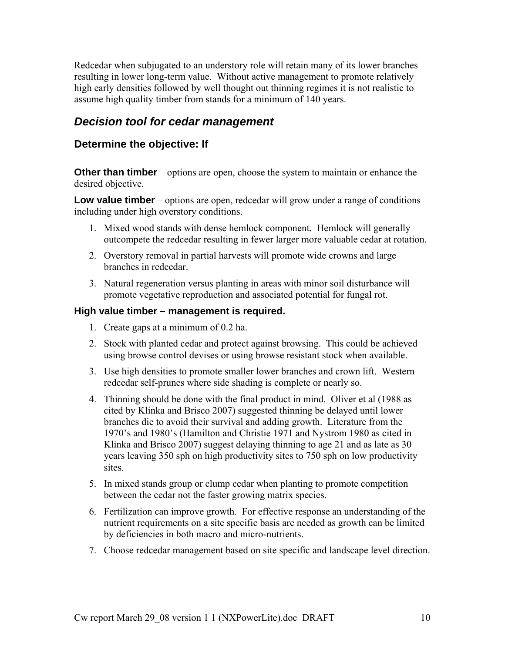Redcedar when subjugated to an understory role will retain many of its lower branches resulting in lower long-term value. Without active management to promote relatively high early densities followed by well thought out thinning regimes it is not realistic to assume high quality timber from stands for a minimum of 140 years.

## *Decision tool for cedar management*

### **Determine the objective: If**

**Other than timber** – options are open, choose the system to maintain or enhance the desired objective.

**Low value timber** – options are open, redcedar will grow under a range of conditions including under high overstory conditions.

- 1. Mixed wood stands with dense hemlock component. Hemlock will generally outcompete the redcedar resulting in fewer larger more valuable cedar at rotation.
- 2. Overstory removal in partial harvests will promote wide crowns and large branches in redcedar.
- 3. Natural regeneration versus planting in areas with minor soil disturbance will promote vegetative reproduction and associated potential for fungal rot.

#### **High value timber – management is required.**

- 1. Create gaps at a minimum of 0.2 ha.
- 2. Stock with planted cedar and protect against browsing. This could be achieved using browse control devises or using browse resistant stock when available.
- 3. Use high densities to promote smaller lower branches and crown lift. Western redcedar self-prunes where side shading is complete or nearly so.
- 4. Thinning should be done with the final product in mind. Oliver et al (1988 as cited by Klinka and Brisco 2007) suggested thinning be delayed until lower branches die to avoid their survival and adding growth. Literature from the 1970's and 1980's (Hamilton and Christie 1971 and Nystrom 1980 as cited in Klinka and Brisco 2007) suggest delaying thinning to age 21 and as late as 30 years leaving 350 sph on high productivity sites to 750 sph on low productivity sites.
- 5. In mixed stands group or clump cedar when planting to promote competition between the cedar not the faster growing matrix species.
- 6. Fertilization can improve growth. For effective response an understanding of the nutrient requirements on a site specific basis are needed as growth can be limited by deficiencies in both macro and micro-nutrients.
- 7. Choose redcedar management based on site specific and landscape level direction.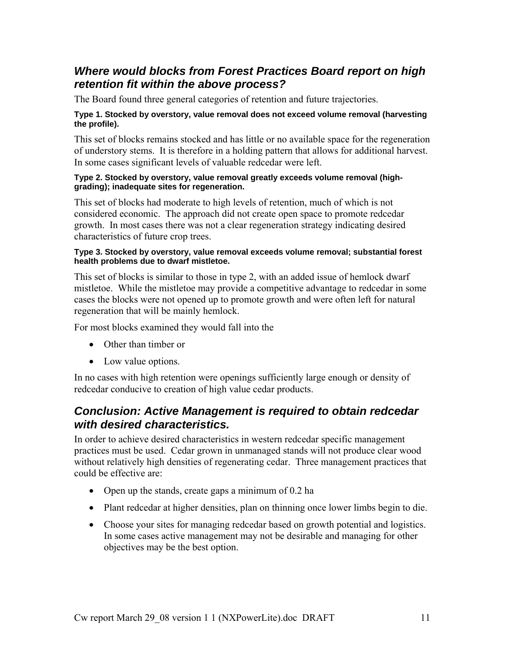# *Where would blocks from Forest Practices Board report on high retention fit within the above process?*

The Board found three general categories of retention and future trajectories.

#### **Type 1. Stocked by overstory, value removal does not exceed volume removal (harvesting the profile).**

This set of blocks remains stocked and has little or no available space for the regeneration of understory stems. It is therefore in a holding pattern that allows for additional harvest. In some cases significant levels of valuable redcedar were left.

#### **Type 2. Stocked by overstory, value removal greatly exceeds volume removal (highgrading); inadequate sites for regeneration.**

This set of blocks had moderate to high levels of retention, much of which is not considered economic. The approach did not create open space to promote redcedar growth. In most cases there was not a clear regeneration strategy indicating desired characteristics of future crop trees.

#### **Type 3. Stocked by overstory, value removal exceeds volume removal; substantial forest health problems due to dwarf mistletoe.**

This set of blocks is similar to those in type 2, with an added issue of hemlock dwarf mistletoe. While the mistletoe may provide a competitive advantage to redcedar in some cases the blocks were not opened up to promote growth and were often left for natural regeneration that will be mainly hemlock.

For most blocks examined they would fall into the

- Other than timber or
- Low value options.

In no cases with high retention were openings sufficiently large enough or density of redcedar conducive to creation of high value cedar products.

# *Conclusion: Active Management is required to obtain redcedar with desired characteristics.*

In order to achieve desired characteristics in western redcedar specific management practices must be used. Cedar grown in unmanaged stands will not produce clear wood without relatively high densities of regenerating cedar. Three management practices that could be effective are:

- Open up the stands, create gaps a minimum of 0.2 ha
- Plant redcedar at higher densities, plan on thinning once lower limbs begin to die.
- Choose your sites for managing redcedar based on growth potential and logistics. In some cases active management may not be desirable and managing for other objectives may be the best option.